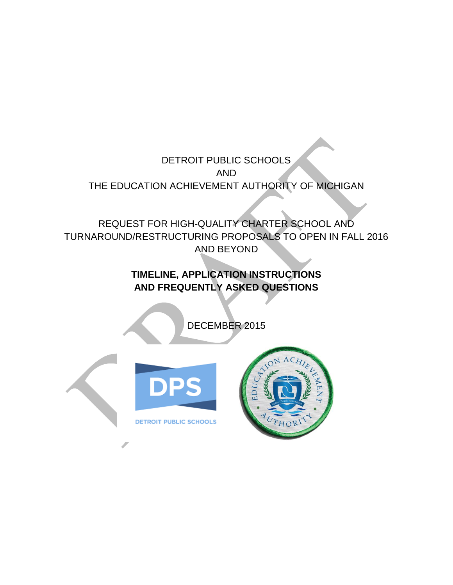DETROIT PUBLIC SCHOOLS AND THE EDUCATION ACHIEVEMENT AUTHORITY OF MICHIGAN

REQUEST FOR HIGH-QUALITY CHARTER SCHOOL AND TURNAROUND/RESTRUCTURING PROPOSALS TO OPEN IN FALL 2016 AND BEYOND

# **TIMELINE, APPLICATION INSTRUCTIONS AND FREQUENTLY ASKED QUESTIONS**

DECEMBER 2015





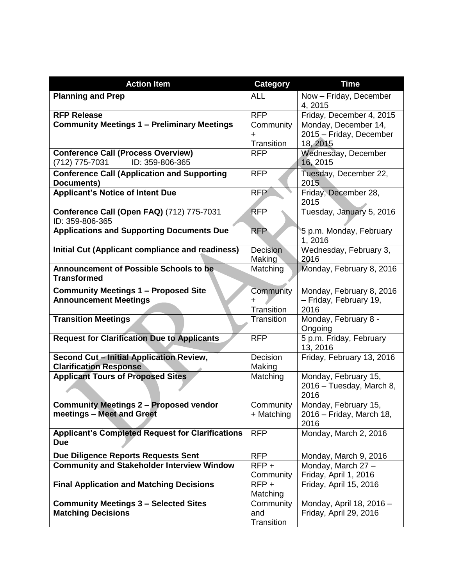| <b>Action Item</b>                                                               | <b>Category</b>                | <b>Time</b>                                                 |
|----------------------------------------------------------------------------------|--------------------------------|-------------------------------------------------------------|
| <b>Planning and Prep</b>                                                         | <b>ALL</b>                     | Now - Friday, December<br>4, 2015                           |
| <b>RFP Release</b>                                                               | <b>RFP</b>                     | Friday, December 4, 2015                                    |
| <b>Community Meetings 1 - Preliminary Meetings</b>                               | Community<br>+<br>Transition   | Monday, December 14,<br>2015 - Friday, December<br>18, 2015 |
| <b>Conference Call (Process Overview)</b><br>ID: 359-806-365<br>(712) 775-7031   | <b>RFP</b>                     | Wednesday, December<br>16, 2015                             |
| <b>Conference Call (Application and Supporting</b><br><b>Documents)</b>          | <b>RFP</b>                     | Tuesday, December 22,<br>2015                               |
| <b>Applicant's Notice of Intent Due</b>                                          | <b>RFP</b>                     | Friday, December 28,<br>2015                                |
| Conference Call (Open FAQ) (712) 775-7031<br>ID: 359-806-365                     | <b>RFP</b>                     | Tuesday, January 5, 2016                                    |
| <b>Applications and Supporting Documents Due</b>                                 | <b>RFP</b>                     | 5 p.m. Monday, February<br>1,2016                           |
| <b>Initial Cut (Applicant compliance and readiness)</b>                          | <b>Decision</b><br>Making      | Wednesday, February 3,<br>2016                              |
| <b>Announcement of Possible Schools to be</b><br><b>Transformed</b>              | Matching                       | Monday, February 8, 2016                                    |
| <b>Community Meetings 1 - Proposed Site</b><br><b>Announcement Meetings</b>      | Community<br>Transition        | Monday, February 8, 2016<br>- Friday, February 19,<br>2016  |
| <b>Transition Meetings</b>                                                       | Transition                     | Monday, February 8 -<br>Ongoing                             |
| <b>Request for Clarification Due to Applicants</b>                               | <b>RFP</b>                     | 5 p.m. Friday, February<br>13, 2016                         |
| <b>Second Cut - Initial Application Review,</b><br><b>Clarification Response</b> | Decision<br>Making             | Friday, February 13, 2016                                   |
| <b>Applicant Tours of Proposed Sites</b>                                         | Matching                       | Monday, February 15,<br>2016 - Tuesday, March 8,<br>2016    |
| <b>Community Meetings 2 - Proposed vendor</b><br>meetings - Meet and Greet       | Community<br>+ Matching        | Monday, February 15,<br>2016 - Friday, March 18,<br>2016    |
| <b>Applicant's Completed Request for Clarifications</b><br><b>Due</b>            | <b>RFP</b>                     | Monday, March 2, 2016                                       |
| Due Diligence Reports Requests Sent                                              | <b>RFP</b>                     | Monday, March 9, 2016                                       |
| <b>Community and Stakeholder Interview Window</b>                                | $RFP +$<br>Community           | Monday, March 27 -<br>Friday, April 1, 2016                 |
| <b>Final Application and Matching Decisions</b>                                  | $RFP +$<br>Matching            | Friday, April 15, 2016                                      |
| <b>Community Meetings 3 - Selected Sites</b><br><b>Matching Decisions</b>        | Community<br>and<br>Transition | Monday, April 18, 2016 -<br>Friday, April 29, 2016          |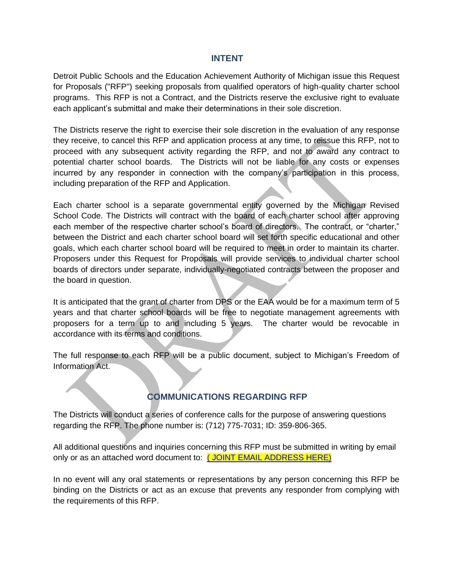#### **INTENT**

Detroit Public Schools and the Education Achievement Authority of Michigan issue this Request for Proposals ("RFP") seeking proposals from qualified operators of high-quality charter school programs. This RFP is not a Contract, and the Districts reserve the exclusive right to evaluate each applicant's submittal and make their determinations in their sole discretion.

The Districts reserve the right to exercise their sole discretion in the evaluation of any response they receive, to cancel this RFP and application process at any time, to reissue this RFP, not to proceed with any subsequent activity regarding the RFP, and not to award any contract to potential charter school boards. The Districts will not be liable for any costs or expenses incurred by any responder in connection with the company's participation in this process, including preparation of the RFP and Application.

Each charter school is a separate governmental entity governed by the Michigan Revised School Code. The Districts will contract with the board of each charter school after approving each member of the respective charter school's board of directors. The contract, or "charter," between the District and each charter school board will set forth specific educational and other goals, which each charter school board will be required to meet in order to maintain its charter. Proposers under this Request for Proposals will provide services to individual charter school boards of directors under separate, individually-negotiated contracts between the proposer and the board in question.

It is anticipated that the grant of charter from DPS or the EAA would be for a maximum term of 5 years and that charter school boards will be free to negotiate management agreements with proposers for a term up to and including 5 years. The charter would be revocable in accordance with its terms and conditions.

The full response to each RFP will be a public document, subject to Michigan's Freedom of Information Act.

## **COMMUNICATIONS REGARDING RFP**

The Districts will conduct a series of conference calls for the purpose of answering questions regarding the RFP. The phone number is: (712) 775-7031; ID: 359-806-365.

All additional questions and inquiries concerning this RFP must be submitted in writing by email only or as an attached word document to: (JOINT EMAIL ADDRESS HERE)

In no event will any oral statements or representations by any person concerning this RFP be binding on the Districts or act as an excuse that prevents any responder from complying with the requirements of this RFP.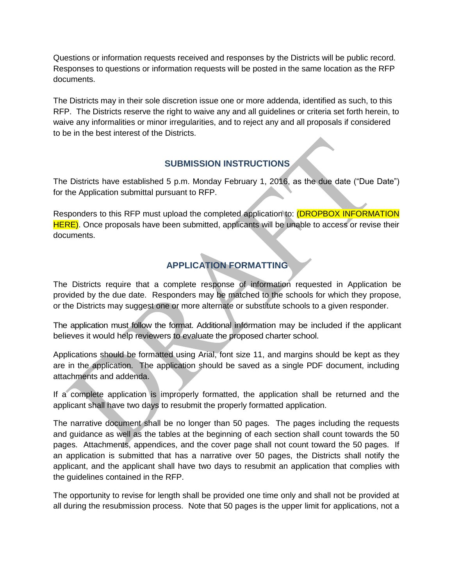Questions or information requests received and responses by the Districts will be public record. Responses to questions or information requests will be posted in the same location as the RFP documents.

The Districts may in their sole discretion issue one or more addenda, identified as such, to this RFP. The Districts reserve the right to waive any and all guidelines or criteria set forth herein, to waive any informalities or minor irregularities, and to reject any and all proposals if considered to be in the best interest of the Districts.

# **SUBMISSION INSTRUCTIONS**

The Districts have established 5 p.m. Monday February 1, 2016, as the due date ("Due Date") for the Application submittal pursuant to RFP.

Responders to this RFP must upload the completed application to: (DROPBOX INFORMATION HERE). Once proposals have been submitted, applicants will be unable to access or revise their documents.

# **APPLICATION FORMATTING**

The Districts require that a complete response of information requested in Application be provided by the due date. Responders may be matched to the schools for which they propose, or the Districts may suggest one or more alternate or substitute schools to a given responder.

The application must follow the format. Additional information may be included if the applicant believes it would help reviewers to evaluate the proposed charter school.

Applications should be formatted using Arial, font size 11, and margins should be kept as they are in the application. The application should be saved as a single PDF document, including attachments and addenda.

If a complete application is improperly formatted, the application shall be returned and the applicant shall have two days to resubmit the properly formatted application.

The narrative document shall be no longer than 50 pages. The pages including the requests and guidance as well as the tables at the beginning of each section shall count towards the 50 pages. Attachments, appendices, and the cover page shall not count toward the 50 pages. If an application is submitted that has a narrative over 50 pages, the Districts shall notify the applicant, and the applicant shall have two days to resubmit an application that complies with the guidelines contained in the RFP.

The opportunity to revise for length shall be provided one time only and shall not be provided at all during the resubmission process. Note that 50 pages is the upper limit for applications, not a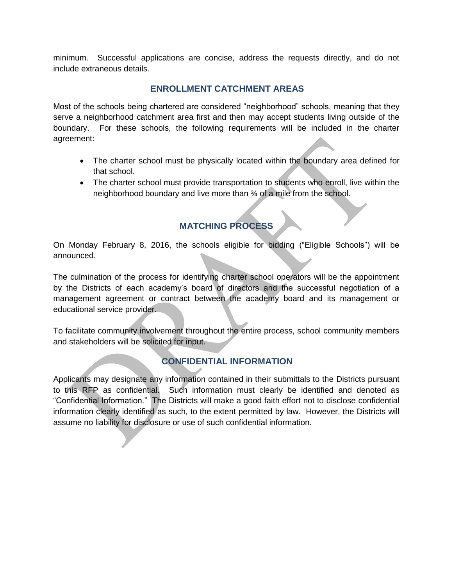minimum. Successful applications are concise, address the requests directly, and do not include extraneous details.

## **ENROLLMENT CATCHMENT AREAS**

Most of the schools being chartered are considered "neighborhood" schools, meaning that they serve a neighborhood catchment area first and then may accept students living outside of the boundary. For these schools, the following requirements will be included in the charter agreement:

- The charter school must be physically located within the boundary area defined for that school.
- The charter school must provide transportation to students who enroll, live within the neighborhood boundary and live more than ¾ of a mile from the school.

# **MATCHING PROCESS**

On Monday February 8, 2016, the schools eligible for bidding ("Eligible Schools") will be announced.

The culmination of the process for identifying charter school operators will be the appointment by the Districts of each academy's board of directors and the successful negotiation of a management agreement or contract between the academy board and its management or educational service provider.

To facilitate community involvement throughout the entire process, school community members and stakeholders will be solicited for input.

## **CONFIDENTIAL INFORMATION**

Applicants may designate any information contained in their submittals to the Districts pursuant to this RFP as confidential. Such information must clearly be identified and denoted as "Confidential Information." The Districts will make a good faith effort not to disclose confidential information clearly identified as such, to the extent permitted by law. However, the Districts will assume no liability for disclosure or use of such confidential information.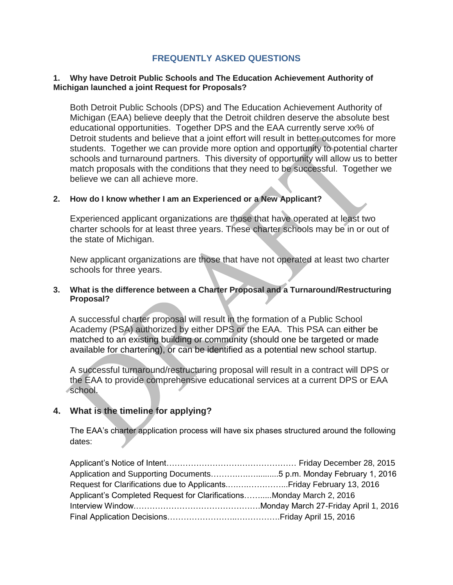## **FREQUENTLY ASKED QUESTIONS**

#### **1. Why have Detroit Public Schools and The Education Achievement Authority of Michigan launched a joint Request for Proposals?**

Both Detroit Public Schools (DPS) and The Education Achievement Authority of Michigan (EAA) believe deeply that the Detroit children deserve the absolute best educational opportunities. Together DPS and the EAA currently serve xx% of Detroit students and believe that a joint effort will result in better outcomes for more students. Together we can provide more option and opportunity to potential charter schools and turnaround partners. This diversity of opportunity will allow us to better match proposals with the conditions that they need to be successful. Together we believe we can all achieve more.

#### **2. How do I know whether I am an Experienced or a New Applicant?**

Experienced applicant organizations are those that have operated at least two charter schools for at least three years. These charter schools may be in or out of the state of Michigan.

New applicant organizations are those that have not operated at least two charter schools for three years.

#### **3. What is the difference between a Charter Proposal and a Turnaround/Restructuring Proposal?**

A successful charter proposal will result in the formation of a Public School Academy (PSA) authorized by either DPS or the EAA. This PSA can either be matched to an existing building or community (should one be targeted or made available for chartering), or can be identified as a potential new school startup.

A successful turnaround/restructuring proposal will result in a contract will DPS or the EAA to provide comprehensive educational services at a current DPS or EAA school.

## **4. What is the timeline for applying?**

The EAA's charter application process will have six phases structured around the following dates:

| Applicant's Completed Request for ClarificationsMonday March 2, 2016 |  |
|----------------------------------------------------------------------|--|
|                                                                      |  |
|                                                                      |  |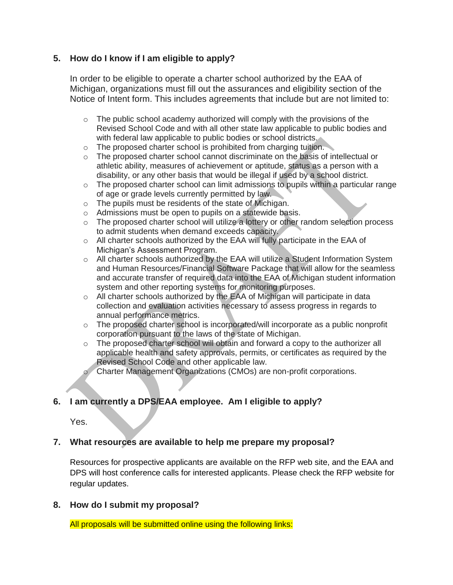## **5. How do I know if I am eligible to apply?**

In order to be eligible to operate a charter school authorized by the EAA of Michigan, organizations must fill out the assurances and eligibility section of the Notice of Intent form. This includes agreements that include but are not limited to:

- $\circ$  The public school academy authorized will comply with the provisions of the Revised School Code and with all other state law applicable to public bodies and with federal law applicable to public bodies or school districts.
- o The proposed charter school is prohibited from charging tuition.
- $\circ$  The proposed charter school cannot discriminate on the basis of intellectual or athletic ability, measures of achievement or aptitude, status as a person with a disability, or any other basis that would be illegal if used by a school district.
- $\circ$  The proposed charter school can limit admissions to pupils within a particular range of age or grade levels currently permitted by law.
- o The pupils must be residents of the state of Michigan.
- o Admissions must be open to pupils on a statewide basis.
- o The proposed charter school will utilize a lottery or other random selection process to admit students when demand exceeds capacity.
- $\circ$  All charter schools authorized by the EAA will fully participate in the EAA of Michigan's Assessment Program.
- $\circ$  All charter schools authorized by the EAA will utilize a Student Information System and Human Resources/Financial Software Package that will allow for the seamless and accurate transfer of required data into the EAA of Michigan student information system and other reporting systems for monitoring purposes.
- o All charter schools authorized by the EAA of Michigan will participate in data collection and evaluation activities necessary to assess progress in regards to annual performance metrics.
- o The proposed charter school is incorporated/will incorporate as a public nonprofit corporation pursuant to the laws of the state of Michigan.
- o The proposed charter school will obtain and forward a copy to the authorizer all applicable health and safety approvals, permits, or certificates as required by the Revised School Code and other applicable law.
	- Charter Management Organizations (CMOs) are non-profit corporations.

## **6. I am currently a DPS/EAA employee. Am I eligible to apply?**

Yes.

## **7. What resources are available to help me prepare my proposal?**

Resources for prospective applicants are available on the RFP web site, and the EAA and DPS will host conference calls for interested applicants. Please check the RFP website for regular updates.

## **8. How do I submit my proposal?**

All proposals will be submitted online using the following links: